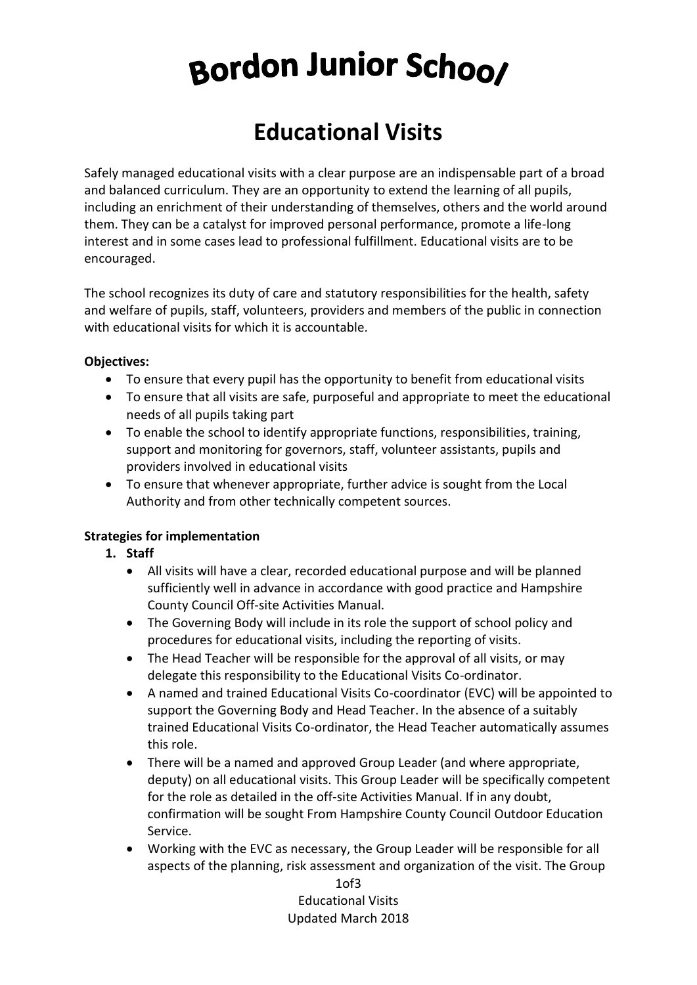# Bordon Junior School

# **Educational Visits**

Safely managed educational visits with a clear purpose are an indispensable part of a broad and balanced curriculum. They are an opportunity to extend the learning of all pupils, including an enrichment of their understanding of themselves, others and the world around them. They can be a catalyst for improved personal performance, promote a life-long interest and in some cases lead to professional fulfillment. Educational visits are to be encouraged.

The school recognizes its duty of care and statutory responsibilities for the health, safety and welfare of pupils, staff, volunteers, providers and members of the public in connection with educational visits for which it is accountable.

#### **Objectives:**

- To ensure that every pupil has the opportunity to benefit from educational visits
- To ensure that all visits are safe, purposeful and appropriate to meet the educational needs of all pupils taking part
- To enable the school to identify appropriate functions, responsibilities, training, support and monitoring for governors, staff, volunteer assistants, pupils and providers involved in educational visits
- To ensure that whenever appropriate, further advice is sought from the Local Authority and from other technically competent sources.

# **Strategies for implementation**

- **1. Staff**
	- All visits will have a clear, recorded educational purpose and will be planned sufficiently well in advance in accordance with good practice and Hampshire County Council Off-site Activities Manual.
	- The Governing Body will include in its role the support of school policy and procedures for educational visits, including the reporting of visits.
	- The Head Teacher will be responsible for the approval of all visits, or may delegate this responsibility to the Educational Visits Co-ordinator.
	- A named and trained Educational Visits Co-coordinator (EVC) will be appointed to support the Governing Body and Head Teacher. In the absence of a suitably trained Educational Visits Co-ordinator, the Head Teacher automatically assumes this role.
	- There will be a named and approved Group Leader (and where appropriate, deputy) on all educational visits. This Group Leader will be specifically competent for the role as detailed in the off-site Activities Manual. If in any doubt, confirmation will be sought From Hampshire County Council Outdoor Education Service.
	- Working with the EVC as necessary, the Group Leader will be responsible for all aspects of the planning, risk assessment and organization of the visit. The Group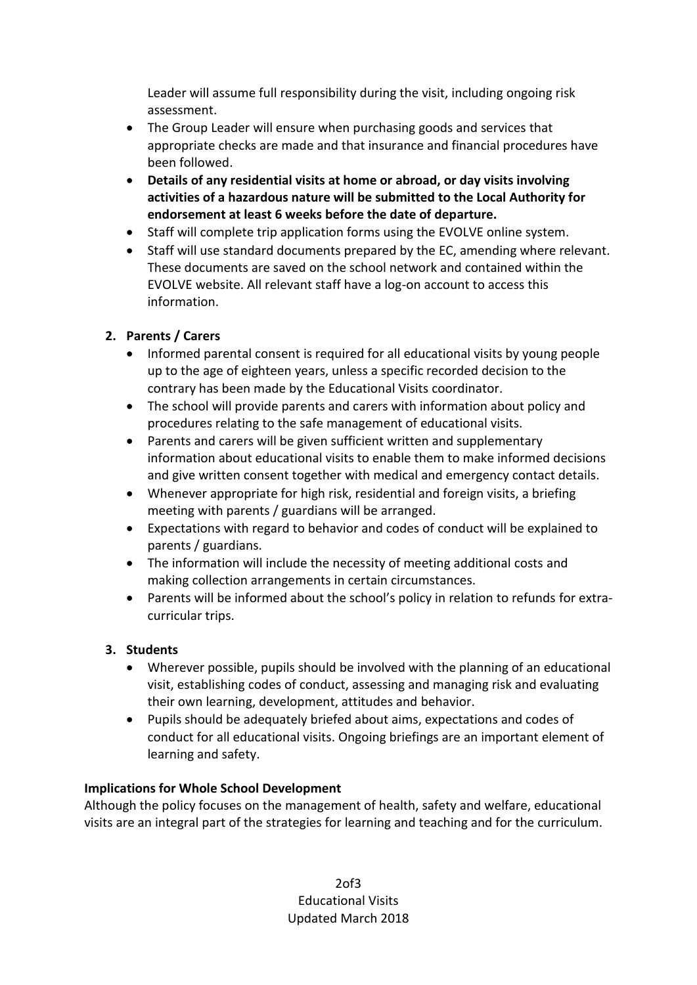Leader will assume full responsibility during the visit, including ongoing risk assessment.

- The Group Leader will ensure when purchasing goods and services that appropriate checks are made and that insurance and financial procedures have been followed.
- **Details of any residential visits at home or abroad, or day visits involving activities of a hazardous nature will be submitted to the Local Authority for endorsement at least 6 weeks before the date of departure.**
- Staff will complete trip application forms using the EVOLVE online system.
- Staff will use standard documents prepared by the EC, amending where relevant. These documents are saved on the school network and contained within the EVOLVE website. All relevant staff have a log-on account to access this information.

# **2. Parents / Carers**

- Informed parental consent is required for all educational visits by young people up to the age of eighteen years, unless a specific recorded decision to the contrary has been made by the Educational Visits coordinator.
- The school will provide parents and carers with information about policy and procedures relating to the safe management of educational visits.
- Parents and carers will be given sufficient written and supplementary information about educational visits to enable them to make informed decisions and give written consent together with medical and emergency contact details.
- Whenever appropriate for high risk, residential and foreign visits, a briefing meeting with parents / guardians will be arranged.
- Expectations with regard to behavior and codes of conduct will be explained to parents / guardians.
- The information will include the necessity of meeting additional costs and making collection arrangements in certain circumstances.
- Parents will be informed about the school's policy in relation to refunds for extracurricular trips.

# **3. Students**

- Wherever possible, pupils should be involved with the planning of an educational visit, establishing codes of conduct, assessing and managing risk and evaluating their own learning, development, attitudes and behavior.
- Pupils should be adequately briefed about aims, expectations and codes of conduct for all educational visits. Ongoing briefings are an important element of learning and safety.

# **Implications for Whole School Development**

Although the policy focuses on the management of health, safety and welfare, educational visits are an integral part of the strategies for learning and teaching and for the curriculum.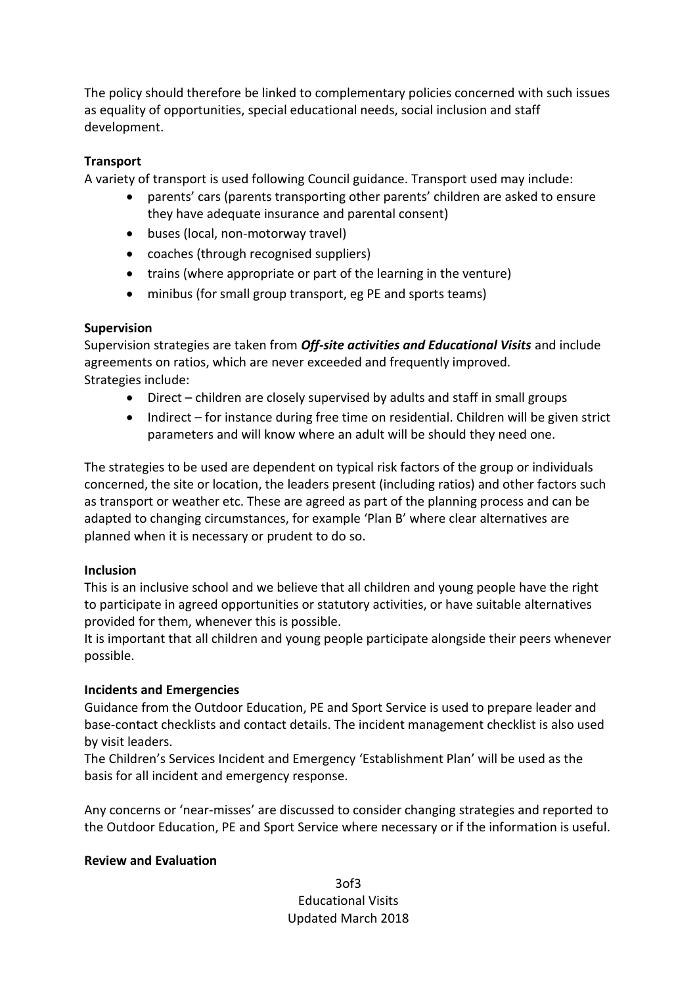The policy should therefore be linked to complementary policies concerned with such issues as equality of opportunities, special educational needs, social inclusion and staff development.

#### **Transport**

A variety of transport is used following Council guidance. Transport used may include:

- parents' cars (parents transporting other parents' children are asked to ensure they have adequate insurance and parental consent)
- buses (local, non-motorway travel)
- coaches (through recognised suppliers)
- trains (where appropriate or part of the learning in the venture)
- minibus (for small group transport, eg PE and sports teams)

#### **Supervision**

Supervision strategies are taken from *Off-site activities and Educational Visits* and include agreements on ratios, which are never exceeded and frequently improved. Strategies include:

- Direct children are closely supervised by adults and staff in small groups
- Indirect for instance during free time on residential. Children will be given strict parameters and will know where an adult will be should they need one.

The strategies to be used are dependent on typical risk factors of the group or individuals concerned, the site or location, the leaders present (including ratios) and other factors such as transport or weather etc. These are agreed as part of the planning process and can be adapted to changing circumstances, for example 'Plan B' where clear alternatives are planned when it is necessary or prudent to do so.

#### **Inclusion**

This is an inclusive school and we believe that all children and young people have the right to participate in agreed opportunities or statutory activities, or have suitable alternatives provided for them, whenever this is possible.

It is important that all children and young people participate alongside their peers whenever possible.

#### **Incidents and Emergencies**

Guidance from the Outdoor Education, PE and Sport Service is used to prepare leader and base-contact checklists and contact details. The incident management checklist is also used by visit leaders.

The Children's Services Incident and Emergency 'Establishment Plan' will be used as the basis for all incident and emergency response.

Any concerns or 'near-misses' are discussed to consider changing strategies and reported to the Outdoor Education, PE and Sport Service where necessary or if the information is useful.

#### **Review and Evaluation**